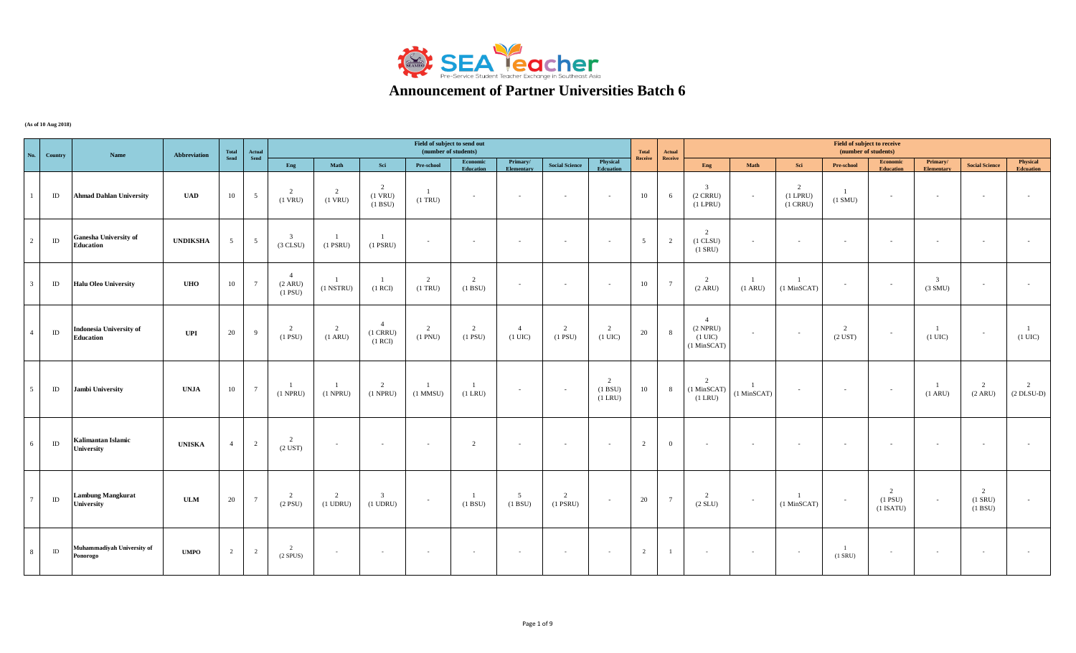

## **Announcement of Partner Universities Batch 6**

**(As of 10 Aug 2018)**

| No.                     | Country  | Name                                               | Abbreviation    | Total<br>Send   | <b>Actual</b>   |                                        |                        |                                         | Field of subject to send out<br>(number of students) |                       |                                     |                       |                                     | Total          | Actual          |                                                                     |                                     |                                     | Field of subject to receive<br>(number of students) |                                           |                                     |                            |                              |
|-------------------------|----------|----------------------------------------------------|-----------------|-----------------|-----------------|----------------------------------------|------------------------|-----------------------------------------|------------------------------------------------------|-----------------------|-------------------------------------|-----------------------|-------------------------------------|----------------|-----------------|---------------------------------------------------------------------|-------------------------------------|-------------------------------------|-----------------------------------------------------|-------------------------------------------|-------------------------------------|----------------------------|------------------------------|
|                         |          |                                                    |                 |                 | Send            | Eng                                    | Math                   | Sci                                     | Pre-school                                           | Economic<br>Education | Primary/<br>Elementary              | <b>Social Science</b> | Physical<br>Edcuation               | Receive        | Receive         | Eng                                                                 | Math                                | Sci                                 | Pre-school                                          | <b>Economic</b><br><b>Education</b>       | Primary/<br><b>Elementary</b>       | <b>Social Science</b>      | Physical<br><b>Edcuation</b> |
| $\overline{1}$          | ID       | <b>Ahmad Dahlan University</b>                     | <b>UAD</b>      | 10              | 5               | 2<br>$(1$ VRU)                         | 2<br>$(1$ VRU)         | $\overline{2}$<br>$(1$ VRU)<br>(1 B SU) | -1<br>$(1$ TRU $)$                                   | $\sim$                | $\sim$                              | $\sim$                | $\sim$                              | 10             | 6               | $\mathcal{R}$<br>$(2 \text{ CRRU})$<br>$(1$ LPRU $)$                | $\sim$                              | 2<br>$(1$ LPRU $)$<br>$(1$ CRRU $)$ | $(1 \text{ SMU})$                                   | $\sim$                                    | $\sim$                              | $\sim$                     |                              |
| $\overline{2}$          | $\rm ID$ | <b>Ganesha University of</b><br><b>Education</b>   | <b>UNDIKSHA</b> | $5\overline{)}$ | $5\overline{)}$ | $\overline{3}$<br>(3 CLSU)             | $(1$ PSRU $)$          | $\overline{1}$<br>$(1$ PSRU)            | $\sim$                                               | $\sim$                | $\sim$                              | $\sim$                | $\sim$                              | 5              | 2               | $\mathcal{L}$<br>$(1$ CLSU $)$<br>$(1$ SRU $)$                      | $\overline{\phantom{a}}$            | $\sim$                              | $\overline{\phantom{a}}$                            |                                           |                                     |                            |                              |
| $\overline{\mathbf{3}}$ | ID       | <b>Halu Oleo University</b>                        | <b>UHO</b>      | 10              | $7\phantom{.0}$ | $\overline{4}$<br>(2 ARU)<br>$(1$ PSU) | $(1$ NSTRU $)$         | $\overline{1}$<br>(1 RCI)               | $\overline{2}$<br>$(1$ TRU)                          | 2<br>(1 B SU)         | $\sim$                              | $\sim$                | $\sim$                              | 10             | $7\overline{ }$ | $\overline{2}$<br>$(2 \text{ ARU})$                                 | $\overline{1}$<br>$(1 \text{ ARU})$ | (1 MinSCAT)                         | $\sim$                                              | $\sim$                                    | $\overline{3}$<br>$(3 \text{ SMU})$ | $\sim$                     |                              |
| $\overline{4}$          | $\rm ID$ | <b>Indonesia University of</b><br><b>Education</b> | <b>UPI</b>      | 20              | $\overline{9}$  | $\overline{2}$<br>$(1$ PSU)            | 2<br>$(1 \text{ ARU})$ | $\overline{4}$<br>$(1$ CRRU)<br>(1 RCI) | 2<br>$(1$ PNU $)$                                    | 2<br>$(1$ PSU $)$     | $\overline{4}$<br>$(1 \text{ UIC})$ | 2<br>$(1$ PSU)        | $\overline{2}$<br>$(1 \text{ UIC})$ | 20             | 8 <sup>8</sup>  | $\mathbf{A}$<br>$(2$ NPRU)<br>$(1 \text{ UIC})$<br>$(1$ MinSCAT $)$ | $\sim$                              | $\sim$                              | $\overline{2}$<br>$(2$ UST $)$                      | $\sim$                                    | $(1 \text{ UIC})$                   | $\sim$                     | -1<br>$(1 \text{ UIC})$      |
| 5 <sup>5</sup>          | ID       | Jambi University                                   | <b>UNJA</b>     | 10              | $7\phantom{.0}$ | - 1<br>$(1$ NPRU)                      | $(1$ NPRU $)$          | 2<br>$(1$ NPRU)                         | $\overline{1}$<br>$(1$ MMSU)                         | $(1$ LRU $)$          | $\sim$                              | $\sim$                | 2<br>(1 B SU)<br>$(1$ LRU $)$       | 10             | 8               | $\gamma$<br>(1 MinSCAT)<br>$(1$ LRU $)$                             | (1 MinSCAT)                         | $\sim$                              | $\sim$                                              | $\sim$                                    | (1 ARU)                             | 2<br>(2 ARU)               | 2<br>$(2$ DLSU-D)            |
| 6                       | $\rm ID$ | <b>Kalimantan Islamic</b><br><b>University</b>     | <b>UNISKA</b>   | $\overline{4}$  | $\overline{2}$  | 2<br>$(2$ UST)                         | $\sim$                 | $\sim$                                  | $\sim$                                               | 2                     | $\sim$                              | $\sim$                | $\sim$                              | $\overline{2}$ | $\overline{0}$  | $\overline{\phantom{a}}$                                            | $\sim$                              | $\sim$                              | $\sim$                                              |                                           | $\sim$                              | $\sim$                     |                              |
| $7\overline{ }$         | $\rm ID$ | <b>Lambung Mangkurat</b><br><b>University</b>      | <b>ULM</b>      | 20              | $7\overline{ }$ | $\overline{2}$<br>$(2$ PSU)            | 2<br>$(1$ UDRU $)$     | $\overline{3}$<br>$(1$ UDRU $)$         | $\sim$                                               | (1 B SU)              | $5\overline{5}$<br>(1 B SU)         | 2<br>$(1$ PSRU)       | $\sim$                              | 20             | $7\overline{ }$ | $\overline{2}$<br>(2 SLU)                                           | $\sim$                              | $\overline{1}$<br>(1 MinSCAT)       | $\sim$                                              | $\mathcal{D}$<br>$(1$ PSU)<br>$(1$ ISATU) | $\sim$                              | 2<br>$(1$ SRU)<br>(1 B SU) |                              |
| 8 <sup>1</sup>          | ID       | Muhammadiyah University of<br>Ponorogo             | <b>UMPO</b>     | 2               | $\overline{2}$  | 2<br>(2 SPUS)                          |                        | $\sim$                                  | $\sim$                                               |                       | $\sim$                              | $\sim$                | $\sim$                              | $\overline{2}$ | $\mathbf{1}$    |                                                                     | $\sim$                              | $\sim$                              | $\overline{1}$<br>$(1$ SRU $)$                      |                                           | $\sim$                              | $\sim$                     |                              |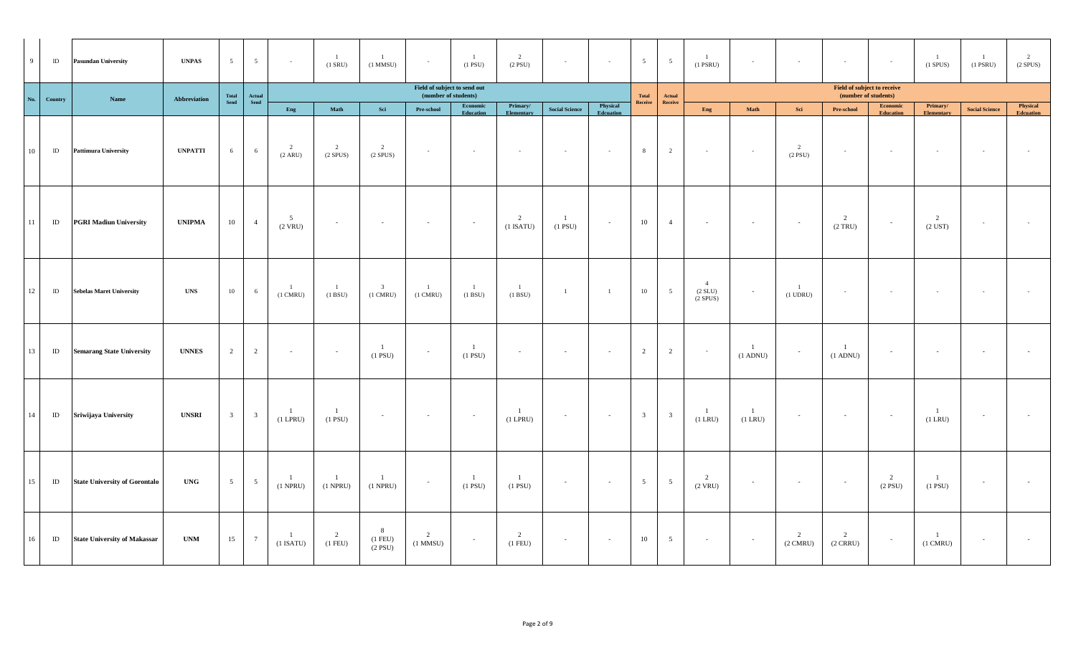| 9   | $\rm ID$ | <b>Pasundan University</b>           | <b>UNPAS</b>   | $5\overline{)}$         | $5\overline{)}$                                  | $\sim$                   | $\overline{1}$<br>$(1$ SRU)   | $\overline{1}$<br>$(1$ MMSU $)$               | $\sim$                                               | $\overline{1}$<br>$(1$ PSU $)$ | 2<br>$(2$ PSU)              | $\sim$                      | $\sim$                | 5 <sup>5</sup>          | $5\overline{)}$            | $\overline{1}$<br>$(1$ PSRU $)$       | $\sim$                         | $\sim$                        | $\sim$                                              | $\sim$                              | $\mathbf{1}$<br>$(1$ SPUS $)$      | $\overline{1}$<br>$(1$ PSRU $)$ | 2<br>$(2$ SPUS)              |
|-----|----------|--------------------------------------|----------------|-------------------------|--------------------------------------------------|--------------------------|-------------------------------|-----------------------------------------------|------------------------------------------------------|--------------------------------|-----------------------------|-----------------------------|-----------------------|-------------------------|----------------------------|---------------------------------------|--------------------------------|-------------------------------|-----------------------------------------------------|-------------------------------------|------------------------------------|---------------------------------|------------------------------|
| No. | Country  | Name                                 | Abbreviation   | Total<br>Send           | ${\bf \small \underline{Actual} \atop \bf Send}$ |                          |                               |                                               | Field of subject to send out<br>(number of students) |                                |                             |                             |                       | Total<br>Receive        | $\bold{Actual}$<br>Receive |                                       |                                |                               | Field of subject to receive<br>(number of students) |                                     |                                    |                                 |                              |
|     |          |                                      |                |                         |                                                  | Eng                      | Math                          | Sci                                           | Pre-school                                           | <b>Economic</b><br>Education   | Primary/<br>Elementary      | <b>Social Science</b>       | Physical<br>Edcuation |                         |                            | Eng                                   | Math                           | Sci                           | Pre-school                                          | <b>Economic</b><br><b>Education</b> | Primary/<br><b>Elementary</b>      | <b>Social Science</b>           | Physical<br><b>Edcuation</b> |
| 10  | $\rm ID$ | <b>Pattimura University</b>          | <b>UNPATTI</b> | 6                       | 6                                                | 2<br>(2 ARU)             | 2<br>$(2$ SPUS)               | $\overline{2}$<br>$(2$ SPUS)                  | $\sim$ $-$                                           | $\sim 10^{-1}$                 | $\sim$ $-$                  | $\sim 100$                  | $\sim$                | 8                       | $\overline{2}$             | $\sim$                                | $\sim$                         | $\overline{2}$<br>$(2$ PSU)   | $\sim$                                              | $\sim$ $-$                          | $\sim 10^{-1}$                     | $\sim 10^{-1}$                  | $\sim$                       |
| 11  | $\rm ID$ | <b>PGRI Madiun University</b>        | <b>UNIPMA</b>  | $10\,$                  | $\overline{4}$                                   | 5<br>$(2$ VRU)           | $\sim$                        | $\sim$                                        | $\sim$                                               | $\sim$                         | 2<br>$(1$ ISATU)            | $\overline{1}$<br>$(1$ PSU) | $\sim$                | 10                      | $\overline{4}$             | $\sim$                                | $\sim$                         | $\sim$                        | $\overline{2}$<br>(2 TRU)                           | $\sim$                              | 2<br>$(2$ UST $)$                  | $\sim$                          | $\sim$                       |
| 12  | $\rm ID$ | <b>Sebelas Maret University</b>      | <b>UNS</b>     | $10\,$                  | 6                                                | -1<br>$(1 \text{ CMRU})$ | $\mathbf{1}$<br>(1 BSU)       | $\overline{\mathbf{3}}$<br>$(1 \text{ CMRU})$ | $\overline{1}$<br>$(1 \text{ CMRU})$                 | $\mathbf{1}$<br>(1 B SU)       | $\mathbf{1}$<br>(1 B SU)    | $\mathbf{1}$                | $\overline{1}$        | $10\,$                  | 5 <sup>5</sup>             | $\overline{4}$<br>(2 SLU)<br>(2 SPUS) | $\sim$                         | <sup>1</sup><br>$(1$ UDRU $)$ | $\sim$                                              | $\sim$                              | $\sim$                             | $\sim$                          | $\sim$                       |
| 13  | $\rm ID$ | <b>Semarang State University</b>     | <b>UNNES</b>   | 2                       | 2                                                | $\sim$                   | $\sim$                        | <sup>1</sup><br>$(1$ PSU)                     |                                                      | $\overline{1}$<br>$(1$ PSU)    | $\sim$                      | $\sim$                      | $\sim$                | 2                       | 2                          | $\sim$                                | $(1$ ADNU $)$                  | $\overline{\phantom{a}}$      | $\mathbf{1}$<br>$(1$ ADNU)                          |                                     | $\sim$                             | $\sim$                          | $\sim$                       |
| 14  | ID       | Sriwijaya University                 | <b>UNSRI</b>   | $\overline{\mathbf{3}}$ | $\overline{\mathbf{3}}$                          | -1<br>$(1$ LPRU $)$      | $\mathbf{1}$<br>$(1$ PSU $)$  | $\sim$                                        | $\sim$                                               | $\sim$                         | -1<br>$(1$ LPRU $)$         | $\sim$                      | $\sim$                | $\overline{\mathbf{3}}$ | $\overline{\mathbf{3}}$    | $\overline{1}$<br>$(1$ LRU $)$        | $\overline{1}$<br>$(1$ LRU $)$ | $\sim$                        | $\sim$                                              | $\sim$                              | $\mathbf{1}$<br>$(1$ LRU $)$       | $\sim$                          | $\sim$                       |
| 15  | $\rm ID$ | <b>State University of Gorontalo</b> | <b>UNG</b>     | $5\overline{)}$         | $5\overline{)}$                                  | -1<br>$(1$ NPRU $)$      | <sup>1</sup><br>$(1$ NPRU $)$ | $\overline{1}$<br>$(1$ NPRU $)$               | $\sim$                                               | $\overline{1}$<br>$(1$ PSU $)$ | $\overline{1}$<br>$(1$ PSU) | $\sim$                      | $\sim$                | $5\overline{)}$         | $5\overline{)}$            | $\overline{2}$<br>$(2$ VRU $)$        | $\sim$                         | $\sim$                        | $\sim$                                              | $\overline{2}$<br>$(2$ PSU)         | $\mathbf{1}$<br>$(1$ PSU $)$       | $\sim$                          | $\sim$                       |
| 16  | ID       | <b>State University of Makassar</b>  | <b>UNM</b>     | 15                      | $7\phantom{.0}$                                  | -1<br>$(1$ ISATU)        | 2<br>$(1$ FEU)                | 8<br>$(1$ FEU)<br>$(2$ PSU)                   | 2<br>$(1$ MMSU $)$                                   | $\sim$                         | 2<br>$(1$ FEU)              | $\sim$                      | $\sim$                | 10                      | $5\overline{)}$            | $\sim 10^{-11}$                       | $\sim$                         | 2<br>$(2 \text{ CMRU})$       | 2<br>$(2 \text{ CRRU})$                             | $\sim$                              | $\mathbf{1}$<br>$(1 \text{ CMRU})$ | $\sim$                          | $\sim$                       |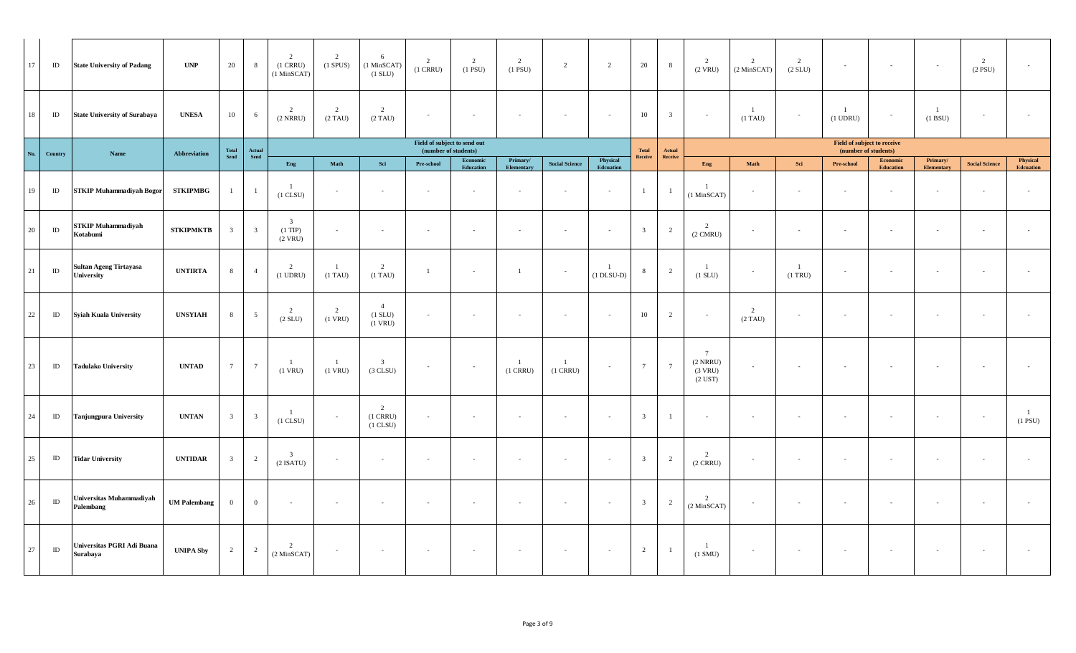| 17  | ID       | <b>State University of Padang</b>           | <b>UNP</b>          | 20                                                   | 8                                                       | 2<br>$(1$ CRRU $)$<br>(1 MinSCAT)                 | 2<br>$(1$ SPUS) $\,$ | 6<br>(1 MinSCAT<br>$(1$ SLU $)$             | $\overline{2}$<br>$(1$ CRRU $)$                      | 2<br>$(1$ PSU $)$     | 2<br>$(1$ PSU $)$               | $\overline{2}$           | $\overline{2}$           | 20                      | 8                       | 2<br>$(2$ VRU)                                              | 2<br>(2 MinSCAT) | 2<br>(2 SLU)             |                                                     | $\sim$                       | $\sim$                        | 2<br>$(2$ PSU $)$     |                                |
|-----|----------|---------------------------------------------|---------------------|------------------------------------------------------|---------------------------------------------------------|---------------------------------------------------|----------------------|---------------------------------------------|------------------------------------------------------|-----------------------|---------------------------------|--------------------------|--------------------------|-------------------------|-------------------------|-------------------------------------------------------------|------------------|--------------------------|-----------------------------------------------------|------------------------------|-------------------------------|-----------------------|--------------------------------|
| 18  | ID       | <b>State University of Surabaya</b>         | <b>UNESA</b>        | 10                                                   | 6                                                       | $\overline{2}$<br>$(2$ NRRU $)$                   | 2<br>$(2)$ TAU)      | $\overline{2}$<br>$(2)$ TAU)                | $\overline{\phantom{a}}$                             | $\sim$                | $\sim$                          | $\sim$                   | $\sim$                   | 10                      | $\overline{\mathbf{3}}$ | $\sim$                                                      | -1<br>$(1)$ TAU) | $\overline{\phantom{a}}$ | - 1<br>$(1$ UDRU $)$                                | $\sim$                       | -1<br>(1 BSU)                 |                       |                                |
| No. | Country  | Name                                        | Abbreviation        | $\begin{array}{c} \bf Total \\ \bf Send \end{array}$ | $\begin{array}{c} \bf{Actual} \\ \bf{Send} \end{array}$ |                                                   |                      |                                             | Field of subject to send out<br>(number of students) |                       |                                 |                          |                          | <b>Total</b>            | Actual                  |                                                             |                  |                          | Field of subject to receive<br>(number of students) |                              |                               |                       |                                |
|     |          |                                             |                     |                                                      |                                                         | Eng                                               | Math                 | Sci                                         | Pre-school                                           | Economic<br>Education | Primary/<br>Elementary          | <b>Social Science</b>    | Physical<br>Edcuation    | Receive                 | Receive                 | Eng                                                         | Math             | Sci                      | Pre-school                                          | Economic<br><b>Education</b> | Primary/<br><b>Elementary</b> | <b>Social Science</b> | Physical<br><b>Edcuation</b>   |
| 19  | $\rm ID$ | <b>STKIP Muhammadiyah Bogor</b>             | <b>STKIPMBG</b>     | $\mathbf{1}$                                         | - 1                                                     | -1<br>$(1$ CLSU $)$                               |                      | $\sim$                                      | $\overline{\phantom{a}}$                             |                       | $\sim$                          | $\overline{\phantom{a}}$ | $\overline{\phantom{a}}$ | $\mathbf{1}$            |                         | -1<br>(1 MinSCAT)                                           | $\sim$           | $\overline{\phantom{a}}$ |                                                     | $\sim$                       | $\overline{\phantom{a}}$      |                       |                                |
| 20  | ID       | <b>STKIP Muhammadiyah</b><br>Kotabumi       | <b>STKIPMKTB</b>    | $\overline{\mathbf{3}}$                              | $\overline{\mathbf{3}}$                                 | $\overline{\mathbf{3}}$<br>$(1$ TIP)<br>$(2$ VRU) |                      | $\sim$                                      | $\sim$                                               | $\overline{a}$        | $\sim$                          | $\sim$                   | $\sim$                   | $\overline{3}$          | 2                       | $\overline{2}$<br>$(2 \text{ CMRU})$                        | $\sim$           | $\overline{\phantom{a}}$ |                                                     | $\sim$                       | $\sim$                        |                       |                                |
| 21  | $\rm ID$ | <b>Sultan Ageng Tirtayasa</b><br>University | <b>UNTIRTA</b>      | 8                                                    | $\overline{4}$                                          | $\overline{2}$<br>$(1$ UDRU $)$                   | $(1)$ TAU)           | $\overline{2}$<br>$(1)$ TAU)                | -1                                                   | $\sim$                | $\overline{1}$                  | $\overline{\phantom{a}}$ | $(1$ DLSU-D $)$          | 8                       | 2                       | (1 SLU)                                                     | $\sim$           | 1<br>$(1$ TRU $)$        |                                                     | $\sim$                       | $\sim$                        |                       |                                |
| 22  | $\rm ID$ | <b>Syiah Kuala University</b>               | <b>UNSYIAH</b>      | 8                                                    | 5                                                       | 2<br>(2 SLU)                                      | 2<br>$(1$ VRU $)$    | $\overline{4}$<br>$(1$ SLU)<br>$(1$ VRU $)$ | $\overline{\phantom{a}}$                             |                       | $\overline{\phantom{a}}$        | $\overline{\phantom{a}}$ | $\sim$                   | $10\,$                  | $\overline{c}$          | $\sim$                                                      | 2<br>$(2)$ TAU)  | $\overline{\phantom{a}}$ |                                                     | $\overline{\phantom{a}}$     |                               |                       |                                |
| 23  | ID       | <b>Tadulako University</b>                  | <b>UNTAD</b>        | $7\phantom{.0}$                                      | $7\phantom{.0}$                                         | -1<br>$(1$ VRU $)$                                | -1<br>$(1$ VRU $)$   | $\overline{\mathbf{3}}$<br>(3 CLSU)         | $\sim$                                               | $\sim$                | $\overline{1}$<br>$(1$ CRRU $)$ | -1<br>$(1$ CRRU $)$      | $\sim$                   | $7\phantom{.0}$         | $7\overline{ }$         | $7\phantom{.0}$<br>$(2$ NRRU $)$<br>(3 VRU)<br>$(2$ UST $)$ |                  | $\overline{\phantom{a}}$ |                                                     | $\sim$                       | $\overline{\phantom{a}}$      |                       |                                |
| 24  | ID       | <b>Tanjungpura University</b>               | <b>UNTAN</b>        | 3 <sup>1</sup>                                       | $\overline{3}$                                          | $\overline{1}$<br>$(1$ CLSU $)$                   |                      | 2<br>$(1$ CRRU $)$<br>$(1$ CLSU $)$         | $\sim$                                               | $\sim$                | $\sim$                          | $\sim$                   | $\sim$                   | $\overline{\mathbf{3}}$ | $\mathbf{1}$            | $\sim$                                                      |                  | $\sim$                   |                                                     | $\sim$                       | $\overline{\phantom{a}}$      |                       | $\overline{1}$<br>$(1$ PSU $)$ |
| 25  | $\rm ID$ | <b>Tidar University</b>                     | <b>UNTIDAR</b>      | $\overline{3}$                                       | $\overline{2}$                                          | $\overline{\mathbf{3}}$<br>$(2$ ISATU)            | $\sim$               | $\sim$                                      | $\sim$                                               | $\sim$                | $\sim$                          | $\sim$                   | $\sim$                   | $\overline{\mathbf{3}}$ | 2                       | 2<br>$(2 \text{ CRRU})$                                     | $\sim$           | $\sim$                   |                                                     | $\sim$                       | $\sim$                        |                       |                                |
| 26  | $\rm ID$ | Universitas Muhammadiyah<br>Palembang       | <b>UM Palembang</b> | $\mathbf{0}$                                         | $\bf{0}$                                                | $\sim$                                            |                      | $\sim$                                      | $\sim$                                               | $\sim$                | $\sim$                          | $\overline{\phantom{a}}$ | $\sim$                   | $\overline{\mathbf{3}}$ | 2                       | $\overline{2}$<br>(2 MinSCAT)                               | $\sim$           | $\overline{\phantom{a}}$ |                                                     | $\sim$                       | $\sim$                        |                       |                                |
| 27  | $\rm ID$ | Universitas PGRI Adi Buana<br>Surabaya      | <b>UNIPA Sby</b>    | $\overline{2}$                                       | $\overline{c}$                                          | $\overline{2}$<br>(2 MinSCAT)                     |                      | $\sim$                                      | $\overline{\phantom{a}}$                             |                       | $\sim$                          | $\overline{\phantom{a}}$ | $\sim$                   | $\overline{2}$          | -1                      | - 1<br>$(1 \text{ SMU})$                                    |                  | $\sim$                   |                                                     |                              | $\overline{\phantom{a}}$      |                       |                                |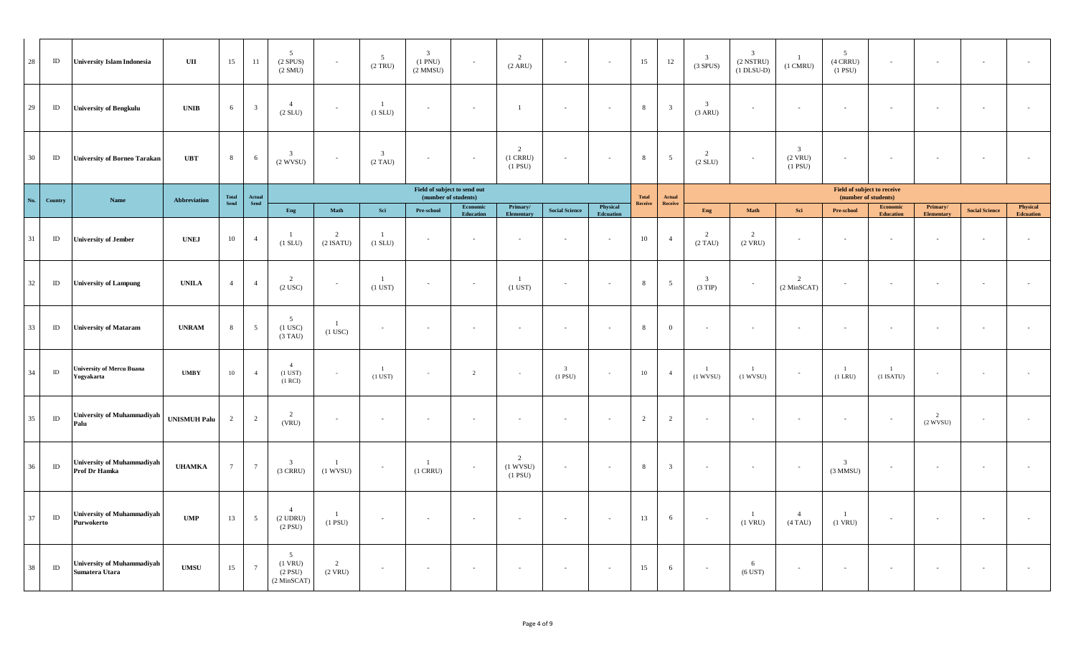| 28  | ID       | <b>University Islam Indonesia</b>                   | UII                 | 15              | -11                                        | $5\overline{ }$<br>$(2$ SPUS)<br>(2 SMU)                      | $\sim$                        | 5 <sup>5</sup><br>(2 TRU)             | $\overline{\mathbf{3}}$<br>$(1 \text{ PNU})$<br>$(2$ MMSU $)$ | $\sim$                | 2<br>(2 ARU)                                 | $\sim$                               | $\sim$                   | 15               | 12             | $\overline{3}$<br>(3 SPUS)           | $\overline{\mathbf{3}}$<br>$(2$ NSTRU $)$<br>$(1$ DLSU-D) | -1<br>$(1 \text{ CMRU})$                                | 5 <sup>5</sup><br>$(4$ CRRU)<br>$(1$ PSU)                  | $\sim$                        | $\sim$                 | $\sim$                |                       |
|-----|----------|-----------------------------------------------------|---------------------|-----------------|--------------------------------------------|---------------------------------------------------------------|-------------------------------|---------------------------------------|---------------------------------------------------------------|-----------------------|----------------------------------------------|--------------------------------------|--------------------------|------------------|----------------|--------------------------------------|-----------------------------------------------------------|---------------------------------------------------------|------------------------------------------------------------|-------------------------------|------------------------|-----------------------|-----------------------|
| 29  | $\rm ID$ | <b>University of Bengkulu</b>                       | <b>UNIB</b>         | 6               | $\overline{\mathbf{3}}$                    | $\overline{4}$<br>(2 SLU)                                     | $\sim$                        | $\overline{1}$<br>$(1$ SLU $)$        | $\sim$                                                        | $\sim$                |                                              | $\sim$                               | $\sim$                   | 8                | $\overline{3}$ | $\overline{\mathbf{3}}$<br>(3 ARU)   | $\sim$                                                    | $\sim$                                                  | $\sim$                                                     |                               |                        | $\sim$                |                       |
| 30  | $\rm ID$ | <b>University of Borneo Tarakan</b>                 | <b>UBT</b>          | $8^{\circ}$     | 6                                          | $\mathbf{3}$<br>$(2$ WVSU)                                    | $\sim$                        | $\overline{\mathbf{3}}$<br>$(2)$ TAU) | $\sim$                                                        | $\sim$                | $\overline{c}$<br>$(1$ CRRU $)$<br>$(1$ PSU) | $\sim$                               | $\overline{\phantom{a}}$ | $\,$ 8 $\,$      | 5              | $\overline{2}$<br>(2 SLU)            | $\sim$                                                    | $\overline{\mathbf{3}}$<br>$(2$ VRU $)$<br>$(1$ PSU $)$ | $\sim$                                                     |                               |                        |                       |                       |
| No. |          |                                                     |                     | Total<br>Send   |                                            |                                                               |                               |                                       | Field of subject to send out<br>(number of students)          |                       |                                              |                                      |                          | Total            | Actual         |                                      |                                                           |                                                         | <b>Field of subject to receive</b><br>(number of students) |                               |                        |                       |                       |
|     | Country  | Name                                                | Abbreviation        |                 | ${\bf \small Actual} \\ {\bf \small Send}$ | Eng                                                           | Math                          | $\operatorname{\mathbf{Sci}}$         | Pre-school                                                    | Economic<br>Education | Primary/<br>Elementary                       | <b>Social Science</b>                | Physical<br>Edcuation    | ${\bf Receive}$  | Receive        | Eng                                  | $\mathbf{Math}$                                           | Sci                                                     | <b>Pre-school</b>                                          | Economic<br><b>Education</b>  | Primary/<br>Elementary | <b>Social Science</b> | Physical<br>Edcuation |
| 31  | $\rm ID$ | University of Jember                                | <b>UNEJ</b>         | 10              | $\overline{4}$                             | -1<br>$(1$ SLU $)$                                            | $\overline{2}$<br>$(2$ ISATU) | $\overline{1}$<br>(1 SLU)             |                                                               | $\sim$                |                                              | $\sim$                               |                          | 10               | $\overline{4}$ | $\overline{2}$<br>$(2)$ TAU)         | 2<br>$(2$ VRU $)$                                         | $\overline{\phantom{a}}$                                | $\overline{\phantom{a}}$                                   |                               |                        |                       |                       |
| 32  | $\rm ID$ | <b>University of Lampung</b>                        | <b>UNILA</b>        | $\overline{4}$  | $\overline{4}$                             | 2<br>$(2$ USC $)$                                             | $\sim$                        | $\overline{1}$<br>$(1$ UST $)$        |                                                               | $\sim$                | $\overline{1}$<br>$(1$ UST)                  | $\sim$                               | $\overline{\phantom{a}}$ | $\boldsymbol{8}$ | 5              | $\overline{\mathbf{3}}$<br>$(3$ TIP) |                                                           | $\overline{2}$<br>(2 MinSCAT)                           | $\overline{\phantom{a}}$                                   |                               | $\sim$                 | $\sim$                |                       |
| 33  | $\rm ID$ | <b>University of Mataram</b>                        | <b>UNRAM</b>        | 8               | $5\overline{)}$                            | $5\overline{)}$<br>$(1$ USC $)$<br>$(3)$ TAU)                 | <sup>1</sup><br>$(1$ USC $)$  | $\sim$                                | $\overline{\phantom{a}}$                                      | $\sim$                | $\sim$                                       | $\sim$                               | $\overline{\phantom{a}}$ | 8                | $\overline{0}$ | $\sim$                               | $\sim$                                                    | $\sim$                                                  | $\sim$                                                     |                               | $\sim$                 | $\sim$                |                       |
| 34  | $\rm ID$ | University of Mercu Buana<br>Yogyakarta             | <b>UMBY</b>         | 10              | $\overline{4}$                             | $\overline{4}$<br>$(1$ UST $)$<br>$(1$ RCI $)$                | $\sim$                        | $\overline{1}$<br>$(1$ UST $)$        |                                                               | 2                     | $\sim$                                       | $\overline{\mathbf{3}}$<br>$(1$ PSU) |                          | $10\,$           | $\overline{4}$ | $\mathbf{1}$<br>$(1$ WVSU)           | $(1$ WVSU)                                                | $\overline{\phantom{a}}$                                | -1<br>$(1$ LRU $)$                                         | $\overline{1}$<br>$(1$ ISATU) | $\sim$                 |                       |                       |
| 35  | $\rm ID$ | <b>University of Muhammadiyah</b><br>Palu           | <b>UNISMUH Palu</b> | 2               | 2                                          | 2<br>(VRU)                                                    | $\sim$                        | $\overline{\phantom{a}}$              |                                                               | $\sim$                |                                              | $\sim$                               | $\overline{\phantom{a}}$ | 2                | 2              | $\overline{\phantom{a}}$             | $\overline{\phantom{a}}$                                  | $\overline{\phantom{a}}$                                | $\sim$                                                     |                               | 2<br>$(2$ WVSU)        | $\sim$                | $\sim$                |
| 36  | $\rm ID$ | University of Muhammadiyah<br>Prof Dr Hamka         | <b>UHAMKA</b>       | $7\overline{ }$ | $7\phantom{.0}$                            | $\overline{\mathbf{3}}$<br>$(3 \text{ CRRU})$                 | -1<br>$(1$ WVSU)              | $\sim$                                | -1<br>$(1$ CRRU $)$                                           | $\sim$                | 2<br>$(1$ WVSU)<br>$(1$ PSU)                 | $\sim$                               | $\sim$                   | 8                | $\overline{3}$ | $\sim$                               | $\sim$                                                    | $\sim$                                                  | $\overline{\mathbf{3}}$<br>$(3$ MMSU)                      |                               | $\sim$                 | $\sim$                | $\sim$                |
| 37  | $\rm ID$ | <b>University of Muhammadiyah</b><br>Purwokerto     | UMP                 | 13              | $5\overline{5}$                            | $\overline{4}$<br>$(2$ UDRU $)$<br>$(2$ PSU)                  | $\mathbf{1}$<br>$(1$ PSU $)$  | $\sim$                                | $\sim$                                                        | $\sim$                |                                              | $\sim$                               | $\overline{\phantom{a}}$ | 13               | 6              | $\sim$                               | $(1$ VRU $)$                                              | $\overline{4}$<br>$(4)$ TAU)                            | $\mathbf{1}$<br>$(1$ VRU $)$                               |                               | $\sim$                 | $\sim$                |                       |
| 38  | $\rm ID$ | <b>University of Muhammadiyah</b><br>Sumatera Utara | <b>UMSU</b>         | 15              | $7\phantom{.0}$                            | 5 <sup>5</sup><br>$(1$ VRU $)$<br>$(2$ PSU $)$<br>(2 MinSCAT) | 2<br>$(2$ VRU $)$             | $\sim$                                | $\sim$                                                        | $\sim$                |                                              | $\sim$                               | $\sim$                   | 15               | 6              | $\sim$                               | 6<br>$(6$ UST $)$                                         | $\sim$                                                  | $\sim$                                                     |                               | $\sim$                 | $\sim$                | $\sim$                |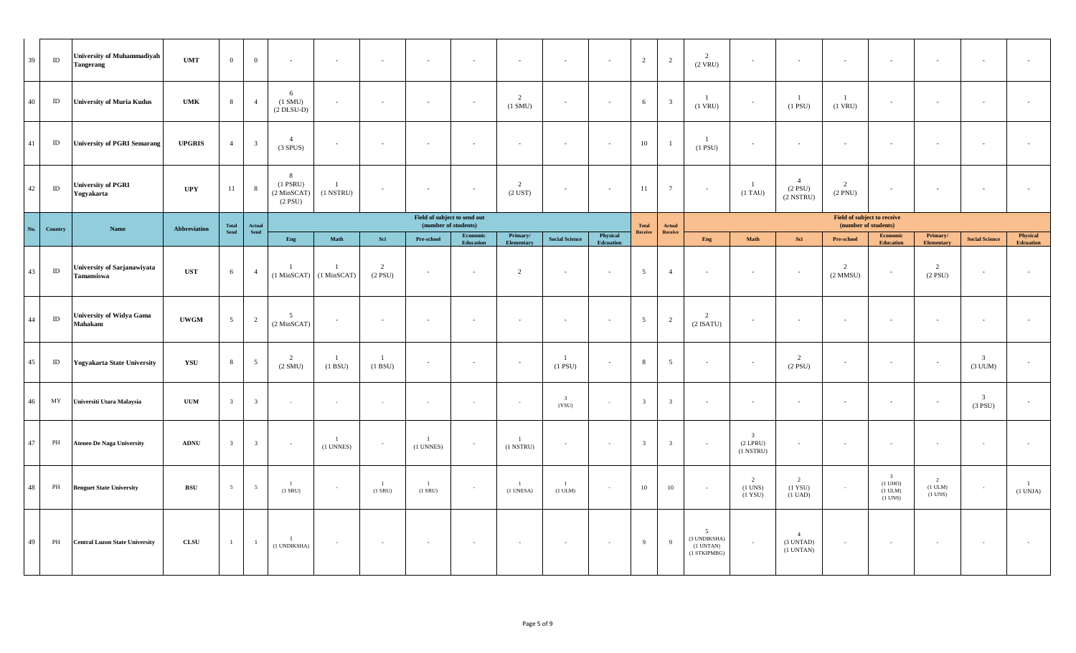| 39     | ID       | <b>University of Muhammadiyah</b><br><b>Tangerang</b> | <b>UMT</b>    | $\overline{0}$  | $\mathbf{0}$            | ٠                                                 | $\overline{\phantom{a}}$                    | $\sim$                         | $\overline{\phantom{a}}$                             | $\overline{\phantom{a}}$ | $\sim$                        | $\overline{\phantom{a}}$         | $\overline{\phantom{a}}$     | $\overline{2}$          | 2                       | $\overline{2}$<br>$(2$ VRU)                                       | $\sim$                                                  | $\sim$                                        |                                                     | $\overline{\phantom{a}}$                                         | $\sim$                                           |                                      |                              |
|--------|----------|-------------------------------------------------------|---------------|-----------------|-------------------------|---------------------------------------------------|---------------------------------------------|--------------------------------|------------------------------------------------------|--------------------------|-------------------------------|----------------------------------|------------------------------|-------------------------|-------------------------|-------------------------------------------------------------------|---------------------------------------------------------|-----------------------------------------------|-----------------------------------------------------|------------------------------------------------------------------|--------------------------------------------------|--------------------------------------|------------------------------|
| 40     | ID       | <b>University of Muria Kudus</b>                      | <b>UMK</b>    | 8               | $\overline{4}$          | 6<br>$(1 \text{ SMU})$<br>$(2$ DLSU-D $)$         | $\sim$                                      | $\sim$                         | $\overline{\phantom{a}}$                             | $\overline{\phantom{a}}$ | 2<br>$(1 \text{ SMU})$        | $\overline{\phantom{a}}$         | $\sim$                       | 6                       | $\overline{\mathbf{3}}$ | -1<br>$(1$ VRU)                                                   | $\sim$                                                  | $\overline{1}$<br>$(1$ PSU)                   | $\mathbf{1}$<br>$(1$ VRU $)$                        | $\overline{\phantom{a}}$                                         | $\sim$                                           |                                      |                              |
| 41     | $\rm ID$ | <b>University of PGRI Semarang</b>                    | <b>UPGRIS</b> | $\overline{4}$  | $\overline{3}$          | $\overline{4}$<br>(3 SPUS)                        | $\sim$                                      | $\sim$                         | $\sim$                                               | $\sim$                   | $\sim$                        | $\sim$                           | $\sim$                       | 10                      | $\overline{1}$          | $\overline{1}$<br>$(1$ PSU $)$                                    | $\sim$                                                  | $\sim$                                        |                                                     | $\sim$                                                           | $\overline{\phantom{a}}$                         |                                      |                              |
| 42     | $\rm ID$ | <b>University of PGRI</b><br>Yogyakarta               | UPY           | 11              | 8                       | 8<br>$(1$ PSRU $)$<br>(2 MinSCAT)<br>$(2$ PSU $)$ | -1<br>$(1$ NSTRU $)$                        |                                | $\sim$                                               | $\sim$                   | 2<br>$(2$ UST $)$             | $\sim$                           | $\overline{\phantom{a}}$     | 11                      | $7\phantom{.0}$         |                                                                   | $\mathbf{1}$<br>$(1)$ TAU)                              | $\overline{4}$<br>$(2$ PSU $)$<br>(2 NSTRU)   | 2<br>$(2$ PNU $)$                                   | $\overline{\phantom{a}}$                                         | $\overline{\phantom{a}}$                         |                                      |                              |
| No.    | Country  | Name                                                  | Abbreviation  | Total<br>Send   | Actual<br>Send          |                                                   |                                             |                                | Field of subject to send out<br>(number of students) |                          |                               |                                  |                              | <b>Total</b><br>Receive | Actual<br>Receive       |                                                                   |                                                         |                                               | Field of subject to receive<br>(number of students) |                                                                  |                                                  |                                      |                              |
|        |          |                                                       |               |                 |                         | Eng                                               | Math                                        | Sci                            | Pre-school                                           | Economic<br>Education    | Primary/<br><b>Elementary</b> | <b>Social Science</b>            | Physical<br><b>Edcuation</b> |                         |                         | Eng                                                               | Math                                                    | Sci                                           | Pre-school                                          | Economic<br><b>Education</b>                                     | Primary/<br><b>Elementary</b>                    | <b>Social Science</b>                | Physical<br><b>Edcuation</b> |
| 43     | $\rm ID$ | University of Sarjanawiyata<br>Tamansiswa             | $_{\rm UST}$  | 6               | $\overline{4}$          |                                                   | $(1 \text{ MinSCAT})$ $(1 \text{ MinSCAT})$ | 2<br>$(2$ PSU)                 | $\sim$                                               | $\sim$                   | 2                             | $\sim$                           | $\sim$                       | $\overline{5}$          | $\overline{4}$          |                                                                   | $\overline{a}$                                          | $\overline{\phantom{a}}$                      | 2<br>$(2$ MMSU)                                     | $\overline{\phantom{a}}$                                         | $\overline{2}$<br>$(2$ PSU)                      | $\sim$                               |                              |
| 44     | ID       | <b>University of Widya Gama</b><br>Mahakam            | <b>UWGM</b>   | $5\overline{)}$ | $\overline{c}$          | 5<br>$(2$ MinSCAT $)$                             |                                             | $\sim$                         | $\sim$                                               | $\overline{\phantom{a}}$ |                               | $\sim$                           |                              | $5\overline{5}$         | 2                       | $\overline{2}$<br>$(2$ ISATU)                                     | $\sim$                                                  | $\sim$                                        |                                                     |                                                                  | $\overline{\phantom{a}}$                         |                                      |                              |
| 45     | ID       | <b>Yogyakarta State University</b>                    | YSU           | 8               | $5\overline{5}$         | $\overline{2}$<br>(2 SMU)                         | -1<br>(1 B SU)                              | $\mathbf{1}$<br>(1 B SU)       | $\overline{\phantom{a}}$                             | $\sim$                   |                               | <sup>1</sup><br>$(1$ PSU $)$     |                              | $\,$ 8 $\,$             | $5\overline{)}$         |                                                                   | $\sim$                                                  | 2<br>$(2$ PSU $)$                             |                                                     | $\overline{\phantom{a}}$                                         | $\overline{\phantom{a}}$                         | $\overline{3}$<br>$(3$ UUM $)$       |                              |
| $46\,$ | MY       | Universiti Utara Malaysia                             | <b>UUM</b>    | $\mathbf{3}$    | $\overline{\mathbf{3}}$ | $\sim$                                            | $\sim$                                      | $\sim$                         | $\sim$                                               | $\sim$                   | $\sim$                        | $\overline{\mathbf{3}}$<br>(YSU) | $\sim$                       | $\overline{\mathbf{3}}$ | $\overline{\mathbf{3}}$ | $\overline{\phantom{a}}$                                          | $\sim$                                                  | $\sim$                                        |                                                     | $\overline{\phantom{a}}$                                         | $\sim$                                           | $\overline{\mathbf{3}}$<br>$(3$ PSU) |                              |
| 47     | PH       | <b>Ateneo De Naga University</b>                      | <b>ADNU</b>   | 3               | $\overline{\mathbf{3}}$ | $\sim$                                            | $\mathbf{1}$<br>$(1$ UNNES)                 | $\sim$                         | $\overline{1}$<br>$(1$ UNNES)                        | $\sim$                   | $\mathbf{1}$<br>$(1$ NSTRU)   | $\sim$                           | $\sim$                       | $\overline{\mathbf{3}}$ | $\overline{\mathbf{3}}$ |                                                                   | $\overline{\mathbf{3}}$<br>$(2$ LPRU)<br>$(1$ NSTRU $)$ | $\sim$                                        |                                                     | $\sim$                                                           | $\sim$                                           | $\sim$                               |                              |
| 48     | PH       | <b>Benguet State University</b>                       | <b>BSU</b>    | -5              | 5                       | $\overline{1}$<br>$(1$ SRU $)$                    | $\sim$                                      | $\overline{1}$<br>$(1$ SRU $)$ | $\overline{1}$<br>$(1$ SRU $)$                       | $\sim$                   | $\overline{1}$<br>(1 UNESA)   | (1 ULM)                          | $\sim$                       | $10\,$                  | $10\,$                  |                                                                   | 2<br>$(1$ UNS $)$<br>$(1$ YSU)                          | 2<br>(1 YSU)<br>(1 UAD)                       |                                                     | $\overline{3}$<br>$(1 \text{ UHO})$<br>$(1$ ULM $)$<br>$(1$ UNS) | $\overline{2}$<br>$(1$ ULM) $\,$<br>$(1$ UNS $)$ | $\sim$                               | $\overline{1}$<br>(1 UNJA)   |
| 49     | PH       | <b>Central Luzon State University</b>                 | ${\bf CLSU}$  |                 | $\mathbf{1}$            | $\overline{1}$<br>(1 UNDIKSHA)                    |                                             |                                |                                                      |                          |                               |                                  | $\sim$                       | $\overline{9}$          | 9                       | $5\overline{5}$<br>(3 UNDIKSHA)<br>$(1$ UNTAN $)$<br>(1 STKIPMBG) | $\sim$                                                  | $\overline{4}$<br>(3 UNTAD)<br>$(1$ UNTAN $)$ |                                                     |                                                                  |                                                  |                                      |                              |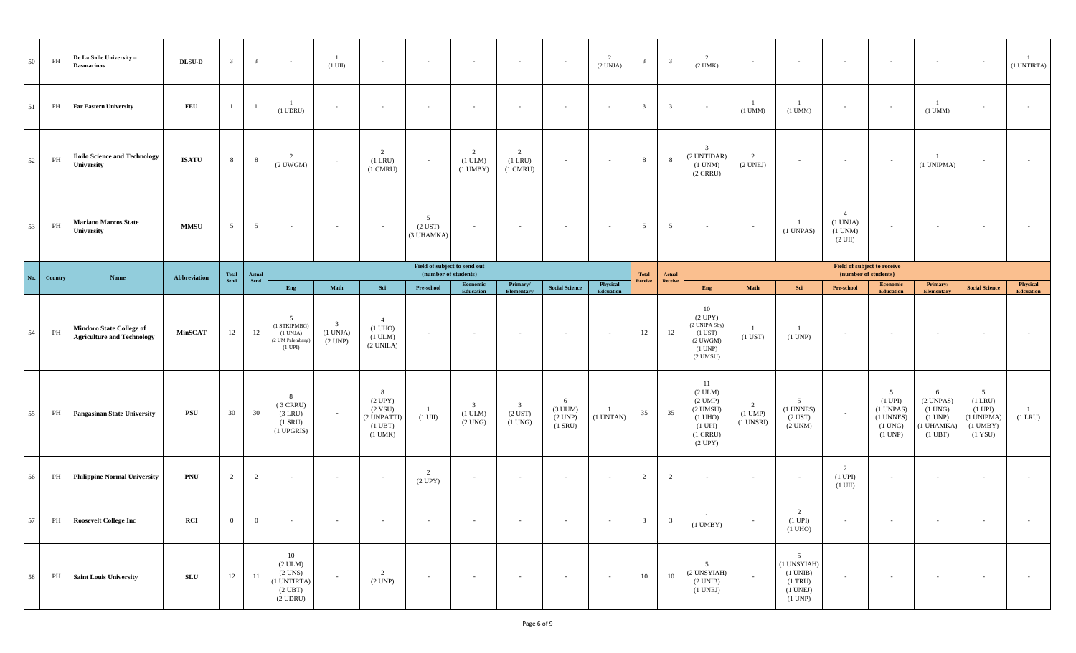| 50            | PH            | De La Salle University-<br><b>Dasmarinas</b>                         | $\bf{DL} \bf{SU}\mbox{-}\bf{D}$ | $\overline{\mathbf{3}}$ | $\overline{3}$  | $\sim$                                                                                  | $(1 \text{ UI})$                      | $\sim$                                                                             | $\sim$                                               | $\sim$                                                  | $\sim$                                               | $\sim$                                       | (2 UNJA)              | $\overline{\mathbf{3}}$ | $\overline{\mathbf{3}}$ | $\overline{2}$<br>$(2$ UMK $)$                                                                                               | $\sim$                                   | $\sim$                                                                                          |                                                                 | $\sim$                                                                                        | $\sim$                                                                       |                                                                                  | (1 UNTIRTA)                  |
|---------------|---------------|----------------------------------------------------------------------|---------------------------------|-------------------------|-----------------|-----------------------------------------------------------------------------------------|---------------------------------------|------------------------------------------------------------------------------------|------------------------------------------------------|---------------------------------------------------------|------------------------------------------------------|----------------------------------------------|-----------------------|-------------------------|-------------------------|------------------------------------------------------------------------------------------------------------------------------|------------------------------------------|-------------------------------------------------------------------------------------------------|-----------------------------------------------------------------|-----------------------------------------------------------------------------------------------|------------------------------------------------------------------------------|----------------------------------------------------------------------------------|------------------------------|
| 51            | PH            | <b>Far Eastern University</b>                                        | <b>FEU</b>                      |                         |                 | $(1$ UDRU $)$                                                                           | $\sim$                                | $\sim$                                                                             | $\sim$                                               | $\sim$                                                  | $\sim$                                               | $\sim$                                       | $\sim$                | $\overline{\mathbf{3}}$ | $\mathbf{3}$            | $\sim$                                                                                                                       | -1<br>$(1 \text{ UMM})$                  | -1<br>$(1$ UMM $)$                                                                              | $\sim$                                                          | $\sim$                                                                                        | -1<br>$(1$ UMM $)$                                                           |                                                                                  |                              |
| 52            | $\mathbf{PH}$ | <b>Iloilo Science and Technology</b><br>University                   | <b>ISATU</b>                    | 8                       | 8               | 2<br>$(2$ UWGM $)$                                                                      |                                       | 2<br>$(1$ LRU $)$<br>$(1 \text{ CMRU})$                                            | $\sim$                                               | 2<br>$(1$ ULM $)$<br>$(1$ UMBY $)$                      | 2<br>$(1$ LRU $)$<br>$(1 \text{ CMRU})$              | $\sim$                                       | $\sim$                | $8\phantom{.0}$         | 8                       | $\overline{\mathbf{3}}$<br>(2 UNTIDAR)<br>$(1$ UNM $)$<br>$(2 \text{ CRRU})$                                                 | $\overline{2}$<br>(2 UNEJ)               | $\overline{\phantom{a}}$                                                                        | $\sim$                                                          | $\sim$                                                                                        | (1 UNIPMA)                                                                   |                                                                                  |                              |
| 53            | $\mathbf{PH}$ | <b>Mariano Marcos State</b><br>University                            | <b>MMSU</b>                     | $5\overline{)}$         | $5\overline{)}$ | $\overline{\phantom{a}}$                                                                |                                       | $\sim$                                                                             | -5<br>$(2$ UST $)$<br>(3 UHAMKA)                     | $\sim$                                                  | $\sim$                                               | $\sim$                                       | $\sim$                | $5\overline{)}$         | $5\overline{)}$         | $\sim$                                                                                                                       | $\sim$                                   | $\overline{1}$<br>(1 UNPAS)                                                                     | $\overline{4}$<br>(1 UNJA)<br>$(1$ UNM $)$<br>$(2 \text{ UII})$ | $\sim$                                                                                        | $\sim$                                                                       |                                                                                  |                              |
| $\mathbf{No}$ | Country       | Name                                                                 | Abbreviation                    | Total<br>Send           | Actual<br>Send  |                                                                                         |                                       |                                                                                    | Field of subject to send out<br>(number of students) |                                                         |                                                      |                                              |                       | <b>Total</b>            | Actual                  |                                                                                                                              |                                          |                                                                                                 | Field of subject to receive<br>(number of students)             |                                                                                               |                                                                              |                                                                                  |                              |
|               |               |                                                                      |                                 |                         |                 | Eng                                                                                     | Math                                  | Sei                                                                                | Pre-school                                           | Economic<br>Education                                   | Primary/<br>Elementary                               | <b>Social Science</b>                        | Physical<br>Edcuation | Receive                 | Receive                 | Eng                                                                                                                          | Math                                     | Sci                                                                                             | Pre-school                                                      | Economic<br><b>Education</b>                                                                  | Primary/<br><b>Elementary</b>                                                | <b>Social Science</b>                                                            | Physical<br><b>Edcuation</b> |
| 54            | PH            | <b>Mindoro State College of</b><br><b>Agriculture and Technology</b> | <b>MinSCAT</b>                  | 12                      | 12              | -5<br>(1 STKIPMBG)<br>(1 UNJA)<br>(2 UM Palembang)<br>$(1 \text{ UPI})$                 | $\overline{3}$<br>(1 UNJA)<br>(2 UNP) | $\overline{4}$<br>$(1 \text{ UHO})$<br>$(1 \text{ ULM})$<br>(2 UNILA)              | $\sim$                                               | $\sim$                                                  | $\sim$                                               | $\overline{\phantom{a}}$                     | $\sim$                | 12                      | 12                      | 10<br>(2 UPY)<br>(2 UNIPA Sby)<br>$(1$ UST $)$<br>$(2$ UWGM $)$<br>(1 UNP)<br>$(2$ UMSU $)$                                  | -1<br>$(1$ UST $)$                       | $\mathbf{1}$<br>$(1$ UNP)                                                                       |                                                                 | $\sim$                                                                                        | $\sim$                                                                       |                                                                                  |                              |
| 55            | PH            | <b>Pangasinan State University</b>                                   | PSU                             | 30                      | 30              | $\mathbf{8}$<br>$(3$ CRRU)<br>$(3$ LRU $)$<br>$(1$ SRU $)$<br>$(1$ UPGRIS)              |                                       | 8<br>(2 UPY)<br>$(2$ YSU)<br>(2 UNPATTI)<br>$(1 \text{ UBT})$<br>$(1 \text{ UMK})$ | $\overline{1}$<br>$(1 \text{ UI})$                   | $\overline{\mathbf{3}}$<br>$(1$ ULM $)$<br>$(2$ UNG $)$ | $\overline{\mathbf{3}}$<br>$(2$ UST)<br>$(1$ UNG $)$ | 6<br>$(3$ UUM $)$<br>(2 UNP)<br>$(1$ SRU $)$ | (1 UNTAN)             | 35                      | 35                      | -11<br>$(2 \text{ ULM})$<br>$(2$ UMP $)$<br>$(2$ UMSU)<br>$(1 \text{ UHO})$<br>$(1 \text{ UPI})$<br>$(1$ CRRU $)$<br>(2 UPY) | 2<br>$(1 \text{ UMP})$<br>$(1$ UNSRI $)$ | 5<br>(1 UNNES)<br>$(2$ UST $)$<br>$(2$ UNM $)$                                                  | $\sim$                                                          | 5 <sup>5</sup><br>$(1 \text{ UPI})$<br>$(1$ UNPAS $)$<br>(1 UNNES)<br>$(1$ UNG $)$<br>(1 UNP) | 6<br>(2 UNPAS)<br>$(1$ UNG $)$<br>(1 UNP)<br>(1 UHAMKA)<br>$(1 \text{ UBT})$ | 5<br>$(1$ LRU $)$<br>$(1 \text{ UPI})$<br>(1 UNIPMA)<br>$(1$ UMBY $)$<br>(1 YSU) | $(1$ LRU $)$                 |
| 56            | PH            | <b>Philippine Normal University</b>                                  | <b>PNU</b>                      | $\overline{2}$          | $\overline{2}$  | $\sim$                                                                                  |                                       | $\sim$                                                                             | 2<br>(2 UPY)                                         | $\sim$                                                  | $\sim$                                               | $\sim$                                       | $\sim$                | 2                       | $\overline{2}$          |                                                                                                                              |                                          | $\sim$                                                                                          | 2<br>$(1 \text{ UPI})$<br>$(1 \text{ UII})$                     | $\sim$                                                                                        | $\sim$                                                                       |                                                                                  |                              |
| 57            |               | PH Roosevelt College Inc                                             | RCI                             | $\overline{0}$          | $\mathbf{0}$    | $\sim$ $-$                                                                              | $\sim$                                | $\sim$ $-$                                                                         | $\sim$ $ \sim$                                       | $\sim$                                                  | $\sim$                                               | $\sim$ $ \sim$                               | $\sim$                | $\overline{\mathbf{3}}$ | $\overline{\mathbf{3}}$ | $\mathbf{1}$<br>$(1$ UMBY $)$                                                                                                | $\sim$                                   | 2<br>$(1 \text{ UPI})$<br>$(1 \text{ UHO})$                                                     | $\sim$                                                          | $\sim$ $-$                                                                                    | $\sim$                                                                       | $\sim$                                                                           | $\sim$                       |
| 58            | PH            | <b>Saint Louis University</b>                                        | SLU                             | 12                      | 11              | 10<br>(2 ULM)<br>$(2$ UNS $)$<br>(1 UNTIRTA)<br>$(2 \text{ UBT})$<br>$(2 \text{ UDRU})$ | $\sim$                                | 2<br>(2 UNP)                                                                       | $\sim$                                               | $\sim$                                                  | $\sim$                                               | $\sim$                                       | $\sim$                | 10                      | 10                      | 5 <sup>5</sup><br>(2 UNSYIAH)<br>(2 UNIB)<br>$(1$ UNEJ $)$                                                                   | $\sim$                                   | 5 <sup>5</sup><br>(1 UNSYIAH)<br>$(1 \text{ UNIB})$<br>$(1$ TRU $)$<br>$(1$ UNEJ $)$<br>(1 UNP) | $\sim$                                                          | $\sim$                                                                                        | $\sim$                                                                       |                                                                                  | $\sim$                       |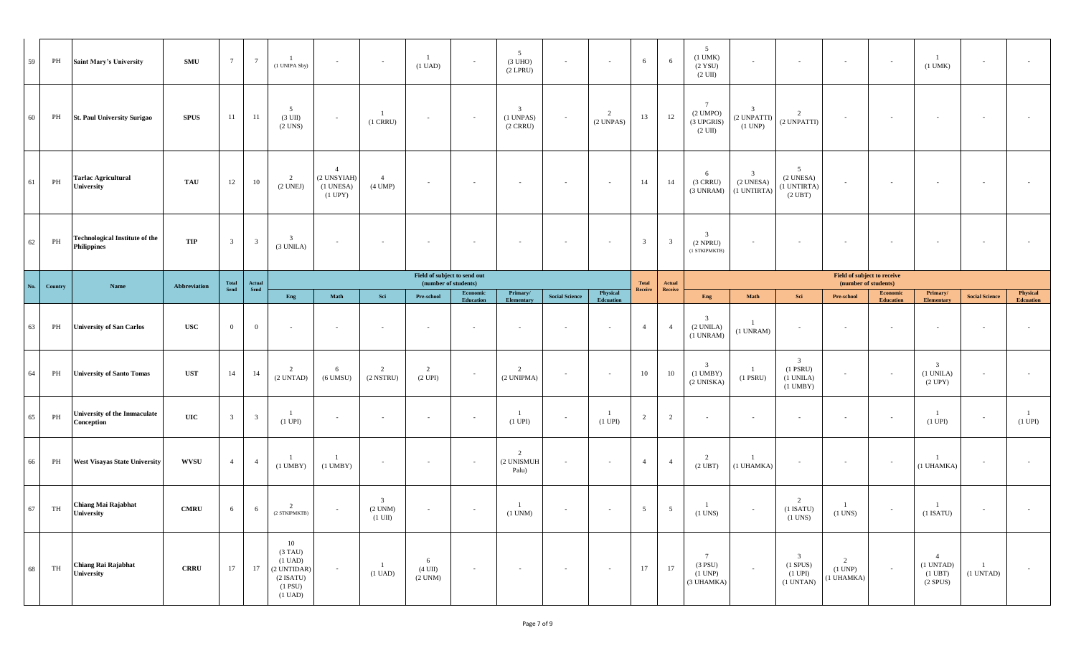| 59     | PH       | <b>Saint Mary's University</b>                              | SMU           | $7\phantom{.0}$         | $7\overline{ }$         | (1 UNIPA Sby)                                                                                                 | $\sim$                                                          | $\sim$                                              | $(1 \text{ UAD})$                                    |                          | 5 <sup>5</sup><br>$(3 \text{ UHO})$<br>$(2$ LPRU)    | $\sim$                | $\sim$                | 6                       | 6                 | 5<br>$(1$ UMK $)$<br>$(2$ YSU $)$<br>$(2 \text{ UII})$              | $\sim$                                                   | $\sim$                                                                          | $\sim$                                              | $\sim$                              | -1<br>$(1$ UMK $)$                                                     |                             |                              |
|--------|----------|-------------------------------------------------------------|---------------|-------------------------|-------------------------|---------------------------------------------------------------------------------------------------------------|-----------------------------------------------------------------|-----------------------------------------------------|------------------------------------------------------|--------------------------|------------------------------------------------------|-----------------------|-----------------------|-------------------------|-------------------|---------------------------------------------------------------------|----------------------------------------------------------|---------------------------------------------------------------------------------|-----------------------------------------------------|-------------------------------------|------------------------------------------------------------------------|-----------------------------|------------------------------|
| 60     | PH       | <b>St. Paul University Surigao</b>                          | <b>SPUS</b>   | 11                      | 11                      | 5<br>$(3 \text{ UII})$<br>$(2$ UNS $)$                                                                        | $\overline{\phantom{a}}$                                        | -1<br>$(1$ CRRU $)$                                 |                                                      | $\sim$                   | $\mathbf{3}$<br>$(1$ UNPAS $)$<br>$(2 \text{ CRRU})$ | $\sim$                | 2<br>$(2$ UNPAS)      | 13                      | $12\,$            | $7\phantom{.0}$<br>$(2$ UMPO $)$<br>(3 UPGRIS)<br>$(2 \text{ UII})$ | $\mathbf{3}$<br>(2 UNPATTI)<br>(1 UNP)                   | 2<br>(2 UNPATTI)                                                                |                                                     |                                     |                                                                        |                             |                              |
| 61     | PH       | <b>Tarlac Agricultural</b><br>University                    | TAU           | 12                      | 10                      | 2<br>(2 UNEJ)                                                                                                 | $\overline{4}$<br>(2 UNSYIAH)<br>$(1$ UNESA $)$<br>$(1$ UPY $)$ | $\overline{4}$<br>$(4$ UMP $)$                      |                                                      |                          |                                                      |                       |                       | 14                      | 14                | 6<br>$(3$ CRRU)<br>(3 UNRAM)                                        | $\overline{\mathbf{3}}$<br>$(2$ UNESA $)$<br>(1 UNTIRTA) | 5<br>$(2$ UNESA) $\,$<br>(1 UNTIRTA)<br>$(2 \text{ UBT})$                       |                                                     |                                     |                                                                        |                             |                              |
| 62     | $\rm PH$ | <b>Technological Institute of the</b><br><b>Philippines</b> | TIP           | $\overline{\mathbf{3}}$ | $\overline{\mathbf{3}}$ | $\overline{\mathbf{3}}$<br>(3 UNILA)                                                                          | $\sim$                                                          |                                                     |                                                      |                          |                                                      |                       |                       | $\overline{\mathbf{3}}$ | $\overline{3}$    | $\overline{3}$<br>$(2$ NPRU $)$<br>(1 STKIPMKTB)                    |                                                          | $\sim$                                                                          |                                                     |                                     |                                                                        |                             |                              |
| No.    | Country  | Name                                                        | Abbreviation  | <b>Total</b><br>Send    | $\bf Actual$<br>Send    |                                                                                                               |                                                                 |                                                     | Field of subject to send out<br>(number of students) |                          |                                                      |                       |                       | Total<br><b>Receive</b> | Actual<br>Receive |                                                                     |                                                          |                                                                                 | Field of subject to receive<br>(number of students) |                                     |                                                                        |                             |                              |
|        |          |                                                             |               |                         |                         | Eng                                                                                                           | Math                                                            | Sci                                                 | Pre-school                                           | Economic<br>Education    | Primary/<br>Elementary                               | <b>Social Science</b> | Physical<br>Edcuation |                         |                   | Eng                                                                 | Math                                                     | Sci                                                                             | Pre-school                                          | <b>Economic</b><br><b>Education</b> | Primary/<br><b>Elementary</b>                                          | <b>Social Science</b>       | Physical<br><b>Edcuation</b> |
| 63     | PH       | <b>University of San Carlos</b>                             | $_{\rm USC}$  | $\overline{0}$          | $\overline{0}$          |                                                                                                               | $\overline{\phantom{a}}$                                        | $\sim$                                              |                                                      |                          | $\sim$                                               |                       |                       | $\overline{4}$          | $\overline{4}$    | $\overline{\mathbf{3}}$<br>$(2$ UNILA $)$<br>(1 UNRAM)              | $(1$ UNRAM $)$                                           | $\sim$                                                                          |                                                     |                                     | $\overline{\phantom{a}}$                                               |                             |                              |
| 64     | PH       | <b>University of Santo Tomas</b>                            | $_{\rm{UST}}$ | 14                      | 14                      | $\mathcal{L}$<br>(2 UNTAD)                                                                                    | 6<br>$(6$ UMSU $)$                                              | $\overline{2}$<br>$(2$ NSTRU $)$                    | 2<br>(2 UPI)                                         | $\overline{\phantom{a}}$ | $\overline{2}$<br>(2 UNIPMA)                         | $\sim$                | $\sim$                | 10                      | 10                | $\overline{\mathbf{3}}$<br>$(1$ UMBY $)$<br>(2 UNISKA)              | $\mathbf{1}$<br>$(1$ PSRU $)$                            | $\overline{3}$<br>$(1$ PSRU $)$<br>(1 UNILA)<br>$(1$ UMBY $)$                   |                                                     | $\sim$                              | $\overline{\mathbf{3}}$<br>(1 UNILA)<br>$(2$ UPY $)$                   |                             |                              |
| 65     | PH       | University of the Immaculate<br>Conception                  | UIC           | 3                       | $\overline{\mathbf{3}}$ | - 1<br>$(1$ UPI $)$                                                                                           | $\overline{\phantom{a}}$                                        | $\sim$                                              | $\sim$                                               | $\overline{\phantom{a}}$ | $\mathbf{1}$<br>$(1 \text{ UPI})$                    | $\sim$                | -1<br>$(1$ UPI $)$    | 2                       | $\overline{2}$    | $\overline{\phantom{a}}$                                            | $\sim$                                                   | $\sim$                                                                          |                                                     | $\sim$                              | - 1<br>$(1$ UPI $)$                                                    |                             | $(1$ UPI $)$                 |
| 66     | PH       | <b>West Visayas State University</b>                        | <b>WVSU</b>   | $\overline{4}$          | $\overline{4}$          | $(1$ UMBY $)$                                                                                                 | $(1$ UMBY)                                                      | $\sim$                                              |                                                      | $\sim$                   | 2<br>(2 UNISMUH<br>Palu)                             | $\sim$                | $\sim$                | $\overline{4}$          | $\overline{4}$    | $\overline{2}$<br>$(2 \text{ UBT})$                                 | (1 UHAMKA)                                               | $\overline{\phantom{a}}$                                                        | $\sim$                                              | $\sim$                              | (1 UHAMKA)                                                             |                             |                              |
| $67\,$ | TH       | Chiang Mai Rajabhat<br>University                           | <b>CMRU</b>   | 6                       | $6\phantom{.0}$         | $\overline{c}$<br>(2 STKIPMKTB)                                                                               |                                                                 | $\mathbf{3}$<br>$(2$ UNM) $\,$<br>$(1 \text{ UII})$ |                                                      | $\overline{\phantom{a}}$ | -1<br>$(1 \text{ UNM})$                              |                       |                       | $5\overline{)}$         | $5\overline{)}$   | $(1$ UNS $)$                                                        | $\sim$                                                   | $\overline{c}$<br>$(1$ ISATU)<br>$(1$ UNS $)$                                   | $(1$ UNS $)$                                        | $\sim$                              | $(1$ ISATU $)$                                                         |                             |                              |
| 68     | TH       | Chiang Rai Rajabhat<br>University                           | <b>CRRU</b>   | 17                      | 17                      | 10<br>$(3)$ TAU)<br>$(1 \text{ UAD})$<br>(2 UNTIDAR)<br>$(2$ ISATU)<br>$(1 \text{ PSU})$<br>$(1 \text{ UAD})$ | $\sim$                                                          | $\frac{1}{2}$<br>$(1 \text{ UAD})$                  | 6<br>$(4 \text{ UII})$<br>$(2$ UNM $)$               | $\sim$                   | $\sim$                                               | $\sim$                | $\sim$                | 17                      | 17                | $7\phantom{.0}$<br>$(3$ PSU)<br>(1 UNP)<br>(3 UHAMKA)               | $\sim$                                                   | $\overline{\mathbf{3}}$<br>$(1$ SPUS $)$<br>$(1 \text{ UPI})$<br>$(1$ UNTAN $)$ | $\overline{2}$<br>$(1$ UNP $)$<br>(1 UHAMKA)        | $\sim$                              | $\overline{4}$<br>$(1$ UNTAD $)$<br>$(1 \text{ UBT})$<br>$(2$ SPUS $)$ | $\overline{1}$<br>(1 UNTAD) | $\sim$                       |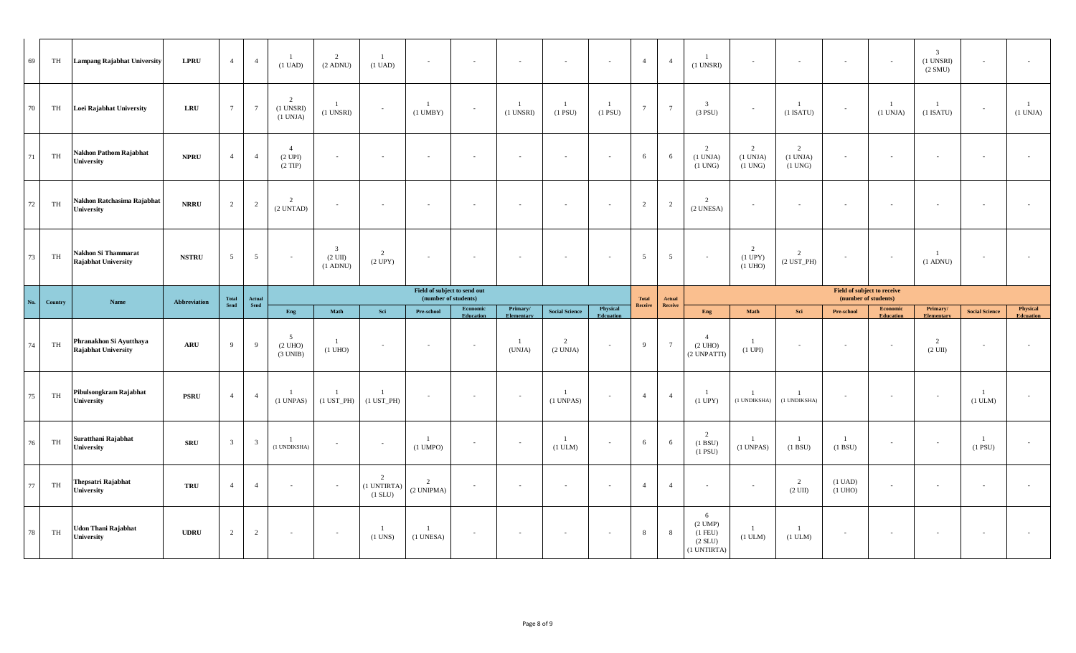| 69     | TH      | <b>Lampang Rajabhat University</b>                    | <b>LPRU</b>  | $\overline{4}$  | $\overline{4}$          | $\overline{1}$<br>$(1$ UAD)                  | 2<br>$(2$ ADNU)                                               | -1<br>$(1 \text{ UAD})$    | $\overline{\phantom{a}}$        | $\sim$                   | $\sim$                           | $\overline{\phantom{a}}$       | $\sim$                | $\overline{4}$  | $\overline{4}$  | $(1$ UNSRI $)$                             | $\sim$                                 | $\sim$                              |                                        | $\sim$                              | $\overline{3}$<br>$(1$ UNSRI $)$<br>(2 SMU) |                              |                              |
|--------|---------|-------------------------------------------------------|--------------|-----------------|-------------------------|----------------------------------------------|---------------------------------------------------------------|----------------------------|---------------------------------|--------------------------|----------------------------------|--------------------------------|-----------------------|-----------------|-----------------|--------------------------------------------|----------------------------------------|-------------------------------------|----------------------------------------|-------------------------------------|---------------------------------------------|------------------------------|------------------------------|
| 70     | TH      | Loei Rajabhat University                              | <b>LRU</b>   | $7\overline{ }$ | $7\overline{ }$         | $\overline{2}$<br>$(1$ UNSRI $)$<br>(1 UNJA) | $(1$ UNSRI $)$                                                |                            | $(1$ UMBY $)$                   |                          | $\overline{1}$<br>$(1$ UNSRI $)$ | -1<br>$(1$ PSU)                | -1<br>$(1$ PSU $)$    | $7\phantom{.0}$ | $7\overline{ }$ | $\overline{\mathbf{3}}$<br>$(3$ PSU)       | $\sim$                                 | $\mathbf{1}$<br>$(1$ ISATU)         |                                        | $\overline{1}$<br>(1 UNJA)          | $\overline{1}$<br>$(1$ ISATU)               |                              | <sup>1</sup><br>(1 UNJA)     |
| 71     | TH      | <b>Nakhon Pathom Rajabhat</b><br><b>University</b>    | <b>NPRU</b>  | $\overline{4}$  | $\overline{4}$          | $\overline{4}$<br>(2 UPI)<br>$(2$ TIP)       |                                                               | $\sim$                     | $\sim$                          |                          | $\sim$                           | $\sim$                         |                       | 6               | 6               | 2<br>(1 UNJA)<br>$(1$ UNG $)$              | 2<br>$(1$ UNJA $)$<br>$(1$ UNG $)$     | 2<br>(1 UNJA)<br>$(1$ UNG $)$       |                                        | $\sim$                              | $\sim$                                      |                              |                              |
| $72\,$ | TH      | Nakhon Ratchasima Rajabhat<br>University              | <b>NRRU</b>  | 2               | $\overline{2}$          | $\overline{2}$<br>$(2$ UNTAD)                | $\sim$                                                        | $\sim$                     | $\sim$                          |                          | $\sim$                           | $\sim$                         | $\sim$                | $\overline{2}$  | 2               | $\overline{2}$<br>(2 UNESA)                | $\sim$                                 | $\sim$                              |                                        | $\sim$                              | $\sim$                                      |                              |                              |
| 73     | TH      | Nakhon Si Thammarat<br><b>Rajabhat University</b>     | <b>NSTRU</b> | $5\overline{)}$ | $5\overline{)}$         | $\overline{\phantom{a}}$                     | $\overline{\mathbf{3}}$<br>$(2 \text{ UII})$<br>$(1$ ADNU $)$ | 2<br>$(2$ UPY $)$          | $\sim$                          | $\overline{\phantom{a}}$ |                                  | $\sim$                         | $\sim$                | $5\overline{5}$ | $\overline{5}$  |                                            | 2<br>$(1$ UPY $)$<br>$(1 \text{ UHO})$ | $\overline{c}$<br>$(2$ UST_PH $)$   |                                        | $\sim$                              | $(1$ ADNU)                                  |                              |                              |
|        |         |                                                       |              |                 |                         |                                              |                                                               |                            | Field of subject to send out    |                          |                                  |                                |                       |                 |                 |                                            |                                        |                                     | Field of subject to receive            |                                     |                                             |                              |                              |
|        |         | Name                                                  |              | Total           | Actual                  |                                              |                                                               |                            | (number of students)            |                          |                                  |                                |                       | <b>Total</b>    | Actual          |                                            |                                        |                                     | (number of students)                   |                                     |                                             |                              |                              |
| No.    | Country |                                                       | Abbreviation | Send            | Send                    | Eng                                          | Math                                                          | Sei                        | Pre-school                      | Economic<br>Education    | Primary/<br>Elementary           | <b>Social Science</b>          | Physical<br>Edcuation | Receive         | Receive         | Eng                                        | Math                                   | Sci                                 | Pre-school                             | <b>Economic</b><br><b>Education</b> | Primary/<br><b>Elementary</b>               | <b>Social Science</b>        | Physical<br><b>Edcuation</b> |
| 74     | TH      | Phranakhon Si Ayutthaya<br><b>Rajabhat University</b> | ARU          | -9              | $\overline{9}$          | .5<br>(2 UHO)<br>(3 UNIB)                    | -1<br>$(1$ UHO $)$                                            | $\sim$                     | $\sim$                          | $\sim$                   | -1<br>(UNJA)                     | $\overline{2}$<br>(2 UNJA)     | $\sim$                | $\overline{9}$  | $7\overline{ }$ | $\overline{4}$<br>$(2$ UHO)<br>(2 UNPATTI) | -1<br>$(1$ UPI $)$                     | $\sim$                              |                                        | $\sim$                              | 2<br>$(2 \text{ UII})$                      | $\sim$                       |                              |
| $75\,$ | TH      | Pibulsongkram Rajabhat<br>University                  | <b>PSRU</b>  | $\overline{4}$  | $\overline{4}$          | $(1$ UNPAS $)$                               | $(1$ UST_PH $)$                                               | $(1$ UST_PH $)$            | $\sim$                          | $\sim$                   | $\sim$                           | $(1$ UNPAS)                    | $\sim$                | $\overline{4}$  | $\overline{4}$  | $(1$ UPY $)$                               | -1<br>(1 UNDIKSHA)                     | 1<br>(1 UNDIKSHA)                   |                                        | $\sim$                              | $\sim$                                      | -1<br>(1 ULM)                |                              |
| $76\,$ | TH      | Suratthani Rajabhat<br>University                     | <b>SRU</b>   | $\overline{3}$  | $\overline{\mathbf{3}}$ | $\overline{1}$<br>(1 UNDIKSHA)               | $\sim$                                                        | $\sim$                     | $\overline{1}$<br>$(1$ UMPO $)$ | $\sim$                   | $\sim$                           | $\overline{1}$<br>$(1$ ULM $)$ | $\sim$                | 6               | 6               | 2<br>(1 B SU)<br>$(1$ PSU $)$              | -1<br>$(1$ UNPAS $)$                   | $\mathbf{1}$<br>(1 BSU)             | -1<br>(1 BSU)                          | $\overline{\phantom{a}}$            | $\sim$                                      | <sup>1</sup><br>$(1$ PSU $)$ | $\sim$                       |
| $77\,$ | TH      | Thepsatri Rajabhat<br>University                      | <b>TRU</b>   | $\overline{4}$  | $\overline{4}$          | $\overline{\phantom{a}}$                     |                                                               | 2<br>(1 UNTIRTA<br>(1 SLU) | 2<br>(2 UNIPMA)                 | $\sim$                   | $\sim$                           | $\sim$                         | $\sim$                | $\overline{4}$  | $\overline{4}$  | $\sim$                                     | $\sim$                                 | $\overline{2}$<br>$(2 \text{ UII})$ | $(1 \text{ UAD})$<br>$(1 \text{ UHO})$ | $\sim$                              | $\sim$                                      | $\overline{\phantom{a}}$     | $\sim$                       |